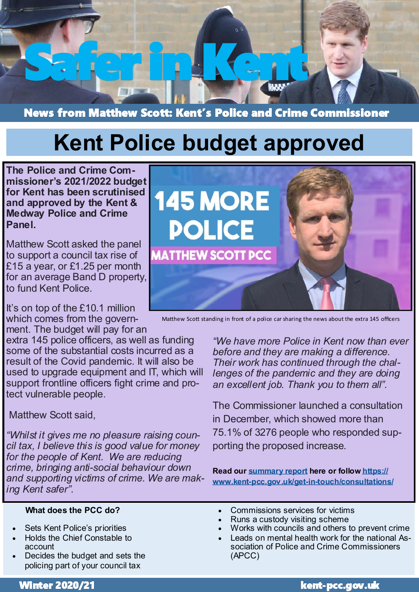

News from Matthew Scott: Kent's Police and Crime Commissioner

# **Kent Police budget approved**

**The Police and Crime Commissioner's 2021/2022 budget for Kent has been scrutinised and approved by the Kent & Medway Police and Crime Panel.**

Matthew Scott asked the panel to support a council tax rise of £15 a year, or £1.25 per month for an average Band D property, to fund Kent Police.

It's on top of the £10.1 million which comes from the government. The budget will pay for an

extra 145 police officers, as well as funding some of the substantial costs incurred as a result of the Covid pandemic. It will also be used to upgrade equipment and IT, which will support frontline officers fight crime and protect vulnerable people.

# Matthew Scott said,

*"Whilst it gives me no pleasure raising council tax, I believe this is good value for money for the people of Kent. We are reducing crime, bringing anti-social behaviour down and supporting victims of crime. We are making Kent safer".* 

#### **What does the PCC do?**

- Sets Kent Police's priorities
- Holds the Chief Constable to account
- Decides the budget and sets the policing part of your council tax



Matthew Scott standing in front of a police car sharing the news about the extra 145 officers

*"We have more Police in Kent now than ever before and they are making a difference. Their work has continued through the challenges of the pandemic and they are doing an excellent job. Thank you to them all".*

The Commissioner launched a consultation in December, which showed more than 75.1% of 3276 people who responded supporting the proposed increase.

**Read our [summary report](https://www.kent-pcc.gov.uk/SysSiteAssets/media/downloads/previous-consultations/annual-policing-survey-2020.pdf) here or follow [https://](https://www.kent-pcc.gov.uk/get-in-touch/consultations/) www.kent-pcc.gov.uk/get-in-[touch/consultations/](https://www.kent-pcc.gov.uk/get-in-touch/consultations/)**

- Commissions services for victims
- Runs a custody visiting scheme
- Works with councils and others to prevent crime
- Leads on mental health work for the national Association of Police and Crime Commissioners (APCC)

Winter 2020/21 kent-pcc.gov.uk